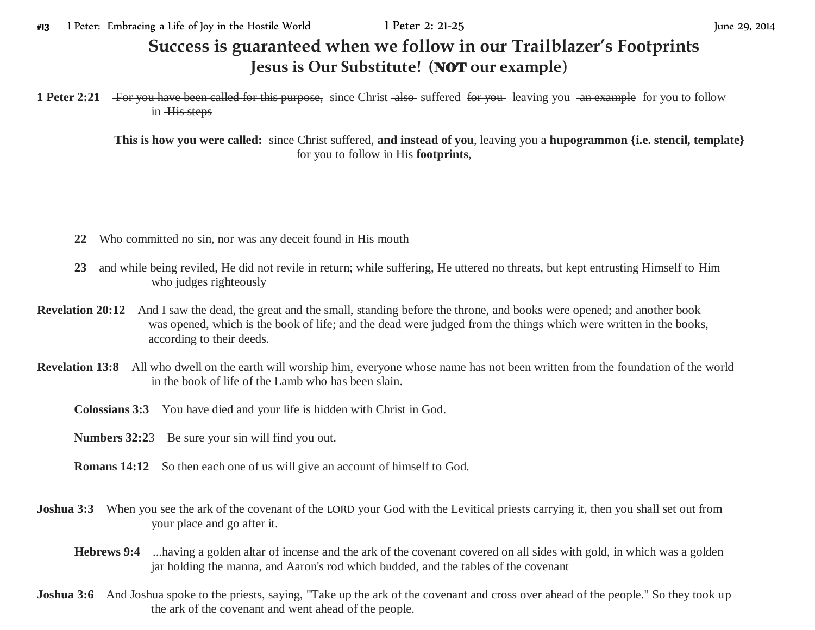## **Success is guaranteed when we follow in our Trailblazer's Footprints Jesus is Our Substitute! (**NOT **our example)**

**1 Peter 2:21** For you have been called for this purpose, since Christ also suffered for you leaving you an example for you to follow in His steps

> **This is how you were called:** since Christ suffered, **and instead of you**, leaving you a **hupogrammon {i.e. stencil, template}** for you to follow in His **footprints**,

- **22** Who committed no sin, nor was any deceit found in His mouth
- **23** and while being reviled, He did not revile in return; while suffering, He uttered no threats, but kept entrusting Himself to Him who judges righteously
- **Revelation 20:12** And I saw the dead, the great and the small, standing before the throne, and books were opened; and another book was opened, which is the book of life; and the dead were judged from the things which were written in the books, according to their deeds.
- **Revelation 13:8** All who dwell on the earth will worship him, everyone whose name has not been written from the foundation of the world in the book of life of the Lamb who has been slain.
	- **Colossians 3:3** You have died and your life is hidden with Christ in God.
	- **Numbers 32:2**3 Be sure your sin will find you out.
	- **Romans 14:12** So then each one of us will give an account of himself to God.
- **Joshua 3:3** When you see the ark of the covenant of the LORD your God with the Levitical priests carrying it, then you shall set out from your place and go after it.
	- **Hebrews 9:4** ...having a golden altar of incense and the ark of the covenant covered on all sides with gold, in which was a golden jar holding the manna, and Aaron's rod which budded, and the tables of the covenant
- **Joshua 3:6** And Joshua spoke to the priests, saying, "Take up the ark of the covenant and cross over ahead of the people." So they took up the ark of the covenant and went ahead of the people.